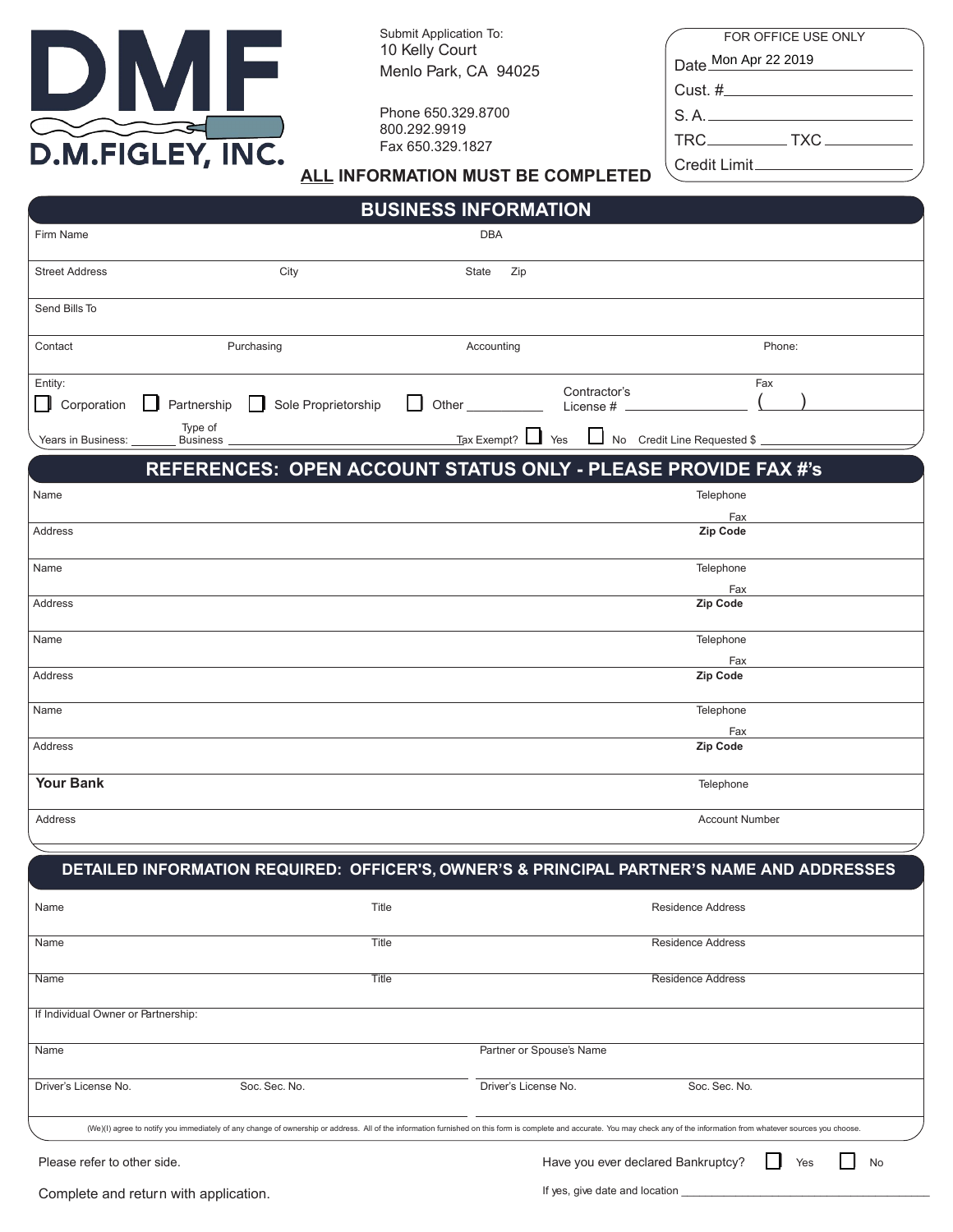

Submit Application To: 10 Kelly Court Menlo Park, CA 94025

Phone 650.329.8700 800.292.9919 Fax 650.329.1827

| FOR OFFICE USE ONLY      |
|--------------------------|
| Date Mon Apr 22 2019     |
| Cust. #_________________ |
| S.A.                     |
|                          |
| $C$ rodit Limit          |

### ALL INFORMATION MUST BE COMPLETED

| <b>BUSINESS INFORMATION</b>         |                            |                                                                                                                                                                                                                               |            |                                      |                           |                                    |        |    |
|-------------------------------------|----------------------------|-------------------------------------------------------------------------------------------------------------------------------------------------------------------------------------------------------------------------------|------------|--------------------------------------|---------------------------|------------------------------------|--------|----|
| Firm Name                           |                            |                                                                                                                                                                                                                               | <b>DBA</b> |                                      |                           |                                    |        |    |
| <b>Street Address</b>               |                            | City                                                                                                                                                                                                                          | State      | Zip                                  |                           |                                    |        |    |
| Send Bills To                       |                            |                                                                                                                                                                                                                               |            |                                      |                           |                                    |        |    |
| Contact                             |                            | Purchasing                                                                                                                                                                                                                    | Accounting |                                      |                           |                                    | Phone: |    |
| Entity:<br>Corporation<br>$\Box$    | Partnership                | Sole Proprietorship                                                                                                                                                                                                           | Other_     |                                      | Contractor's<br>License # |                                    | Fax    |    |
| Years in Business:                  | Type of<br><b>Business</b> |                                                                                                                                                                                                                               |            | $\frac{1}{2}$ Tax Exempt? $\Box$ Yes | $\Box$                    | No Credit Line Requested \$        |        |    |
|                                     |                            | REFERENCES: OPEN ACCOUNT STATUS ONLY - PLEASE PROVIDE FAX #'s                                                                                                                                                                 |            |                                      |                           |                                    |        |    |
| Name                                |                            |                                                                                                                                                                                                                               |            |                                      |                           | Telephone                          |        |    |
| Address                             |                            |                                                                                                                                                                                                                               |            |                                      |                           | Fax<br>Zip Code                    |        |    |
| Name                                |                            |                                                                                                                                                                                                                               |            |                                      |                           | Telephone                          |        |    |
| Address                             |                            |                                                                                                                                                                                                                               |            |                                      |                           | Fax<br>Zip Code                    |        |    |
| Name                                |                            |                                                                                                                                                                                                                               |            |                                      |                           | Telephone<br>Fax                   |        |    |
| Address                             |                            |                                                                                                                                                                                                                               |            |                                      |                           | Zip Code                           |        |    |
| Name                                |                            |                                                                                                                                                                                                                               |            |                                      |                           | Telephone<br>Fax                   |        |    |
| Address                             |                            |                                                                                                                                                                                                                               |            |                                      |                           | Zip Code                           |        |    |
| <b>Your Bank</b>                    |                            |                                                                                                                                                                                                                               |            |                                      |                           | Telephone                          |        |    |
| Address                             |                            |                                                                                                                                                                                                                               |            |                                      |                           | <b>Account Number</b>              |        |    |
|                                     |                            |                                                                                                                                                                                                                               |            |                                      |                           |                                    |        |    |
|                                     |                            | DETAILED INFORMATION REQUIRED: OFFICER'S, OWNER'S & PRINCIPAL PARTNER'S NAME AND ADDRESSES                                                                                                                                    |            |                                      |                           |                                    |        |    |
| Name                                |                            | Title                                                                                                                                                                                                                         |            |                                      |                           | Residence Address                  |        |    |
| Name                                |                            | Title                                                                                                                                                                                                                         |            |                                      |                           | <b>Residence Address</b>           |        |    |
| Name                                |                            | Title                                                                                                                                                                                                                         |            |                                      |                           | <b>Residence Address</b>           |        |    |
| If Individual Owner or Partnership: |                            |                                                                                                                                                                                                                               |            |                                      |                           |                                    |        |    |
| Name                                |                            |                                                                                                                                                                                                                               |            | Partner or Spouse's Name             |                           |                                    |        |    |
| Driver's License No.                |                            | Soc. Sec. No.                                                                                                                                                                                                                 |            | Driver's License No.                 |                           | Soc. Sec. No.                      |        |    |
|                                     |                            | (We)(I) agree to notify you immediately of any change of ownership or address. All of the information furnished on this form is complete and accurate. You may check any of the information from whatever sources you choose. |            |                                      |                           |                                    |        |    |
| Please refer to other side.         |                            |                                                                                                                                                                                                                               |            |                                      |                           | Have you ever declared Bankruptcy? | Yes    | No |

Complete and return with application. If yes, give date and location \_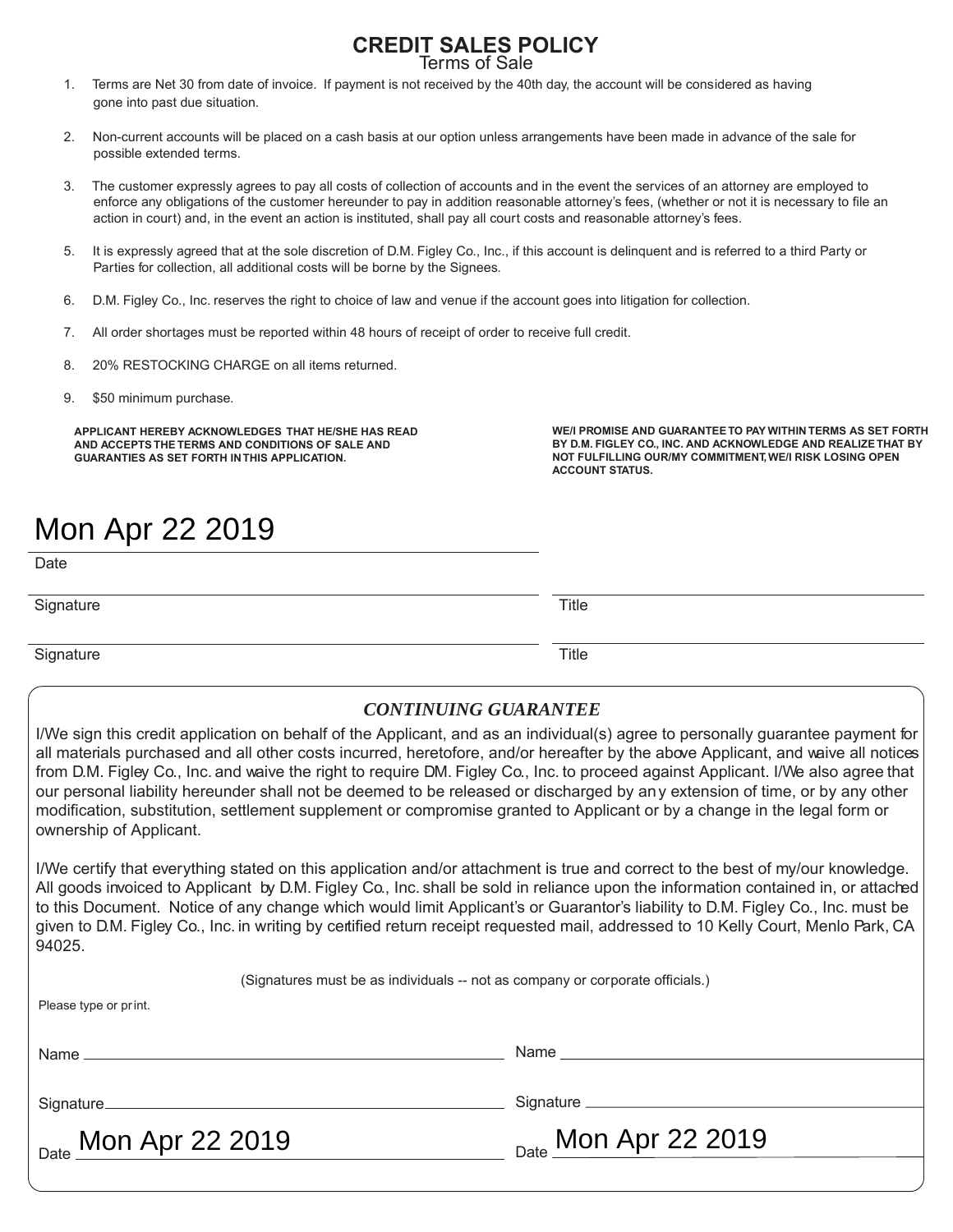#### **CREDIT SALES POLICY** Terms of Sale

1. Terms are Net 30 from date of invoice. If payment is not received by the 40th day, the account will be considered as having gone into past due situation.

- 2. Non-current accounts will be placed on a cash basis at our option unless arrangements have been made in advance of the sale for possible extended terms.
- 3. The customer expressly agrees to pay all costs of collection of accounts and in the event the services of an attorney are employed to enforce any obligations of the customer hereunder to pay in addition reasonable attorney's fees, (whether or not it is necessary to file an action in court) and, in the event an action is instituted, shall pay all court costs and reasonable attorney's fees.
- 5. It is expressly agreed that at the sole discretion of D.M. Figley Co., Inc., if this account is delinquent and is referred to a third Party or Parties for collection, all additional costs will be borne by the Signees.
- 6. D.M. Figley Co., Inc. reserves the right to choice of law and venue if the account goes into litigation for collection.
- 7. All order shortages must be reported within 48 hours of receipt of order to receive full credit.
- 8. 20% RESTOCKING CHARGE on all items returned.
- 9. \$50 minimum purchase.

**APPLICANT HEREBY ACKNOWLEDGES THAT HE/SHE HAS READ AND ACCEPTS THE TERMS AND CONDITIONS OF SALE AND GUARANTIES AS SET FORTH IN THIS APPLICATION.**

**WE/I PROMISE AND GUARANTEE TO PAY WITHIN TERMS AS SET FORTH BY D.M. FIGLEY CO., INC. AND ACKNOWLEDGE AND REALIZE THAT BY NOT FULFILLING OUR/MY COMMITMENT, WE/I RISK LOSING OPEN ACCOUNT STATUS.**

# Mon Apr 22 2019

**Date** 

Signature Title **Title** 

Signature Title **Title** 

#### *CONTINUING GUARANTEE*

I/We sign this credit application on behalf of the Applicant, and as an individual(s) agree to personally guarantee payment for all materials purchased and all other costs incurred, heretofore, and/or hereafter by the above Applicant, and waive all notices from D.M. Figley Co., Inc. and waive the right to require DM. Figley Co., Inc. to proceed against Applicant. I/We also agree that our personal liability hereunder shall not be deemed to be released or discharged by any extension of time, or by any other modification, substitution, settlement supplement or compromise granted to Applicant or by a change in the legal form or ownership of Applicant.

I/We certify that everything stated on this application and/or attachment is true and correct to the best of my/our knowledge. All goods invoiced to Applicant by D.M. Figley Co., Inc. shall be sold in reliance upon the information contained in, or attached to this Document. Notice of any change which would limit Applicant's or Guarantor's liability to D.M. Figley Co., Inc. must be given to D.M. Figley Co., Inc. in writing by certified return receipt requested mail, addressed to 10 Kelly Court, Menlo Park, CA 94025.

(Signatures must be as individuals -- not as company or corporate officials.) Please type or print. Name Signature Date Mon Apr 22 2019 Name Signature \_\_ Mon Apr 22 2019 Mon Apr 22 2019